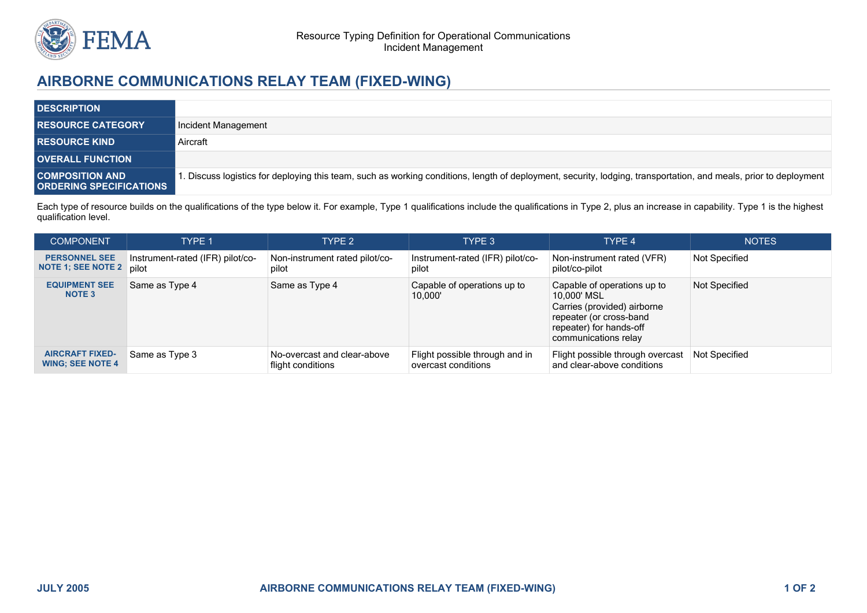

## **AIRBORNE COMMUNICATIONS RELAY TEAM (FIXED-WING)**

| <b>DESCRIPTION</b>                                       |                                                                                                                                                                  |
|----------------------------------------------------------|------------------------------------------------------------------------------------------------------------------------------------------------------------------|
| <b>RESOURCE CATEGORY</b>                                 | Incident Management                                                                                                                                              |
| <b>RESOURCE KIND</b>                                     | Aircraft                                                                                                                                                         |
| <b>OVERALL FUNCTION</b>                                  |                                                                                                                                                                  |
| <b>COMPOSITION AND</b><br><b>ORDERING SPECIFICATIONS</b> | . Discuss logistics for deploying this team, such as working conditions, length of deployment, security, lodging, transportation, and meals, prior to deployment |

Each type of resource builds on the qualifications of the type below it. For example, Type 1 qualifications include the qualifications in Type 2, plus an increase in capability. Type 1 is the highest qualification level.

| <b>COMPONENT</b>                                  | <b>TYPE 1</b>                             | TYPE <sub>2</sub>                                | TYPE 3                                                | TYPE 4                                                                                                                                                  | <b>NOTES</b>  |
|---------------------------------------------------|-------------------------------------------|--------------------------------------------------|-------------------------------------------------------|---------------------------------------------------------------------------------------------------------------------------------------------------------|---------------|
| <b>PERSONNEL SEE</b><br><b>NOTE 1; SEE NOTE 2</b> | Instrument-rated (IFR) pilot/co-<br>pilot | Non-instrument rated pilot/co-<br>pilot          | Instrument-rated (IFR) pilot/co-<br>pilot             | Non-instrument rated (VFR)<br>pilot/co-pilot                                                                                                            | Not Specified |
| <b>EQUIPMENT SEE</b><br>NOTE <sub>3</sub>         | Same as Type 4                            | Same as Type 4                                   | Capable of operations up to<br>10,000'                | Capable of operations up to<br>10.000' MSL<br>Carries (provided) airborne<br>repeater (or cross-band<br>repeater) for hands-off<br>communications relay | Not Specified |
| <b>AIRCRAFT FIXED-</b><br><b>WING: SEE NOTE 4</b> | Same as Type 3                            | No-overcast and clear-above<br>flight conditions | Flight possible through and in<br>overcast conditions | Flight possible through overcast<br>and clear-above conditions                                                                                          | Not Specified |